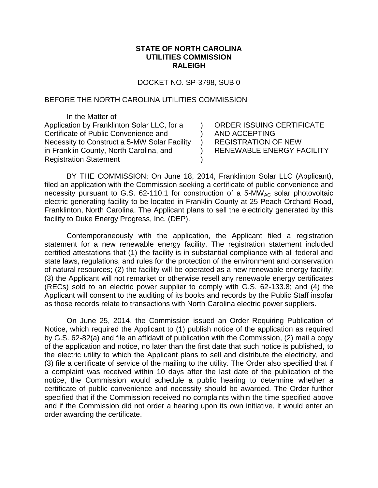## **STATE OF NORTH CAROLINA UTILITIES COMMISSION RALEIGH**

DOCKET NO. SP-3798, SUB 0

 $\lambda$ )  $\lambda$ ) )

## BEFORE THE NORTH CAROLINA UTILITIES COMMISSION

In the Matter of Application by Franklinton Solar LLC, for a Certificate of Public Convenience and Necessity to Construct a 5-MW Solar Facility in Franklin County, North Carolina, and Registration Statement

ORDER ISSUING CERTIFICATE AND ACCEPTING REGISTRATION OF NEW RENEWABLE ENERGY FACILITY

BY THE COMMISSION: On June 18, 2014, Franklinton Solar LLC (Applicant), filed an application with the Commission seeking a certificate of public convenience and necessity pursuant to G.S. 62-110.1 for construction of a 5-MW<sub>AC</sub> solar photovoltaic electric generating facility to be located in Franklin County at 25 Peach Orchard Road, Franklinton, North Carolina. The Applicant plans to sell the electricity generated by this facility to Duke Energy Progress, Inc. (DEP).

Contemporaneously with the application, the Applicant filed a registration statement for a new renewable energy facility. The registration statement included certified attestations that (1) the facility is in substantial compliance with all federal and state laws, regulations, and rules for the protection of the environment and conservation of natural resources; (2) the facility will be operated as a new renewable energy facility; (3) the Applicant will not remarket or otherwise resell any renewable energy certificates (RECs) sold to an electric power supplier to comply with G.S. 62-133.8; and (4) the Applicant will consent to the auditing of its books and records by the Public Staff insofar as those records relate to transactions with North Carolina electric power suppliers.

On June 25, 2014, the Commission issued an Order Requiring Publication of Notice, which required the Applicant to (1) publish notice of the application as required by G.S. 62-82(a) and file an affidavit of publication with the Commission, (2) mail a copy of the application and notice, no later than the first date that such notice is published, to the electric utility to which the Applicant plans to sell and distribute the electricity, and (3) file a certificate of service of the mailing to the utility. The Order also specified that if a complaint was received within 10 days after the last date of the publication of the notice, the Commission would schedule a public hearing to determine whether a certificate of public convenience and necessity should be awarded. The Order further specified that if the Commission received no complaints within the time specified above and if the Commission did not order a hearing upon its own initiative, it would enter an order awarding the certificate.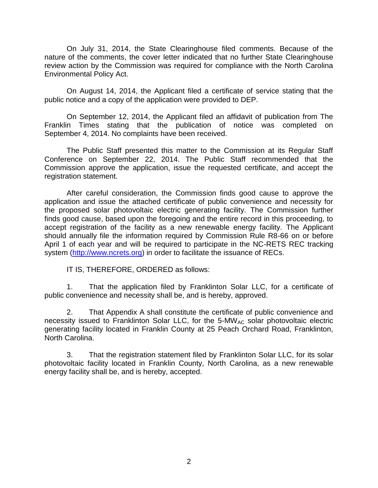On July 31, 2014, the State Clearinghouse filed comments. Because of the nature of the comments, the cover letter indicated that no further State Clearinghouse review action by the Commission was required for compliance with the North Carolina Environmental Policy Act.

On August 14, 2014, the Applicant filed a certificate of service stating that the public notice and a copy of the application were provided to DEP.

On September 12, 2014, the Applicant filed an affidavit of publication from The Franklin Times stating that the publication of notice was completed on September 4, 2014. No complaints have been received.

The Public Staff presented this matter to the Commission at its Regular Staff Conference on September 22, 2014. The Public Staff recommended that the Commission approve the application, issue the requested certificate, and accept the registration statement.

After careful consideration, the Commission finds good cause to approve the application and issue the attached certificate of public convenience and necessity for the proposed solar photovoltaic electric generating facility. The Commission further finds good cause, based upon the foregoing and the entire record in this proceeding, to accept registration of the facility as a new renewable energy facility. The Applicant should annually file the information required by Commission Rule R8-66 on or before April 1 of each year and will be required to participate in the NC-RETS REC tracking system [\(http://www.ncrets.org\)](http://www.ncrets.org/) in order to facilitate the issuance of RECs.

IT IS, THEREFORE, ORDERED as follows:

1. That the application filed by Franklinton Solar LLC, for a certificate of public convenience and necessity shall be, and is hereby, approved.

2. That Appendix A shall constitute the certificate of public convenience and necessity issued to Franklinton Solar LLC, for the 5-MW<sub>AC</sub> solar photovoltaic electric generating facility located in Franklin County at 25 Peach Orchard Road, Franklinton, North Carolina.

3. That the registration statement filed by Franklinton Solar LLC, for its solar photovoltaic facility located in Franklin County, North Carolina, as a new renewable energy facility shall be, and is hereby, accepted.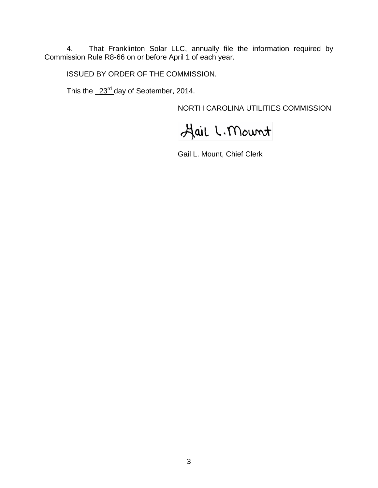4. That Franklinton Solar LLC, annually file the information required by Commission Rule R8-66 on or before April 1 of each year.

ISSUED BY ORDER OF THE COMMISSION.

This the  $\_23^{\text{rd}}$  day of September, 2014.

NORTH CAROLINA UTILITIES COMMISSION

Hail L. Mount

Gail L. Mount, Chief Clerk